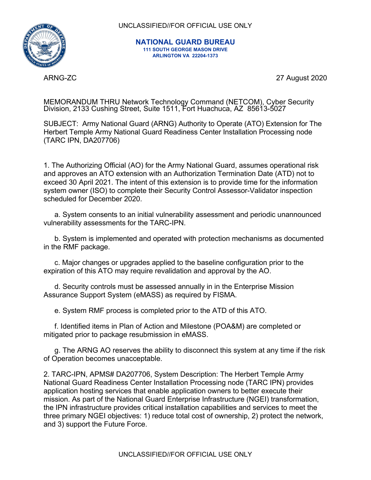

UNCLASSIFIED//FOR OFFICIAL USE ONLY

**NATIONAL GUARD BUREAU 111 SOUTH GEORGE MASON DRIVE ARLINGTON VA 22204-1373** 

ARNG-ZC 27 August 2020

MEMORANDUM THRU Network Technology Command (NETCOM), Cyber Security Division, 2133 Cushing Street, Suite 1511, Fort Huachuca, AZ 85613-5027

SUBJECT: Army National Guard (ARNG) Authority to Operate (ATO) Extension for The Herbert Temple Army National Guard Readiness Center Installation Processing node (TARC IPN, DA207706)

1. The Authorizing Official (AO) for the Army National Guard, assumes operational risk and approves an ATO extension with an Authorization Termination Date (ATD) not to exceed 30 April 2021. The intent of this extension is to provide time for the information system owner (ISO) to complete their Security Control Assessor-Validator inspection scheduled for December 2020.

a. System consents to an initial vulnerability assessment and periodic unannounced vulnerability assessments for the TARC-IPN.

b. System is implemented and operated with protection mechanisms as documented in the RMF package.

c. Major changes or upgrades applied to the baseline configuration prior to the expiration of this ATO may require revalidation and approval by the AO.

d. Security controls must be assessed annually in in the Enterprise Mission Assurance Support System (eMASS) as required by FISMA.

e. System RMF process is completed prior to the ATD of this ATO.

f. Identified items in Plan of Action and Milestone (POA&M) are completed or mitigated prior to package resubmission in eMASS.

g. The ARNG AO reserves the ability to disconnect this system at any time if the risk of Operation becomes unacceptable.

2. TARC-IPN, APMS# DA207706, System Description: The Herbert Temple Army National Guard Readiness Center Installation Processing node (TARC IPN) provides application hosting services that enable application owners to better execute their mission. As part of the National Guard Enterprise Infrastructure (NGEI) transformation, the IPN infrastructure provides critical installation capabilities and services to meet the three primary NGEI objectives: 1) reduce total cost of ownership, 2) protect the network, and 3) support the Future Force.